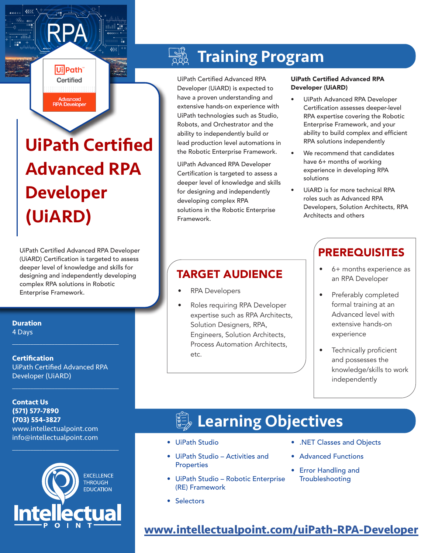# UiPath Certified Advanced RPA Developer (UiARD)

Ui Path Certified

Advanced **RPA Developer** 

UiPath Certified Advanced RPA Developer (UiARD) Certification is targeted to assess deeper level of knowledge and skills for designing and independently developing complex RPA solutions in Robotic Enterprise Framework.

#### **Duration**

4 Days

#### **Certification** UiPath Certified Advanced RPA Developer (UiARD)

 $\mathcal{L}_\text{max}$  and  $\mathcal{L}_\text{max}$  and  $\mathcal{L}_\text{max}$  and  $\mathcal{L}_\text{max}$ 

 $\mathcal{L}_\text{max}$  and  $\mathcal{L}_\text{max}$  and  $\mathcal{L}_\text{max}$  and  $\mathcal{L}_\text{max}$ 

**Contact Us (571) 577-7890 (703) 554-3827** www.intellectualpoint.com info@intellectualpoint.com



 $\mathcal{L}_\text{max}$  and  $\mathcal{L}_\text{max}$  and  $\mathcal{L}_\text{max}$  and  $\mathcal{L}_\text{max}$ 

#### $\frac{1}{2}$ Training Program

UiPath Certified Advanced RPA Developer (UiARD) is expected to have a proven understanding and extensive hands-on experience with UiPath technologies such as Studio, Robots, and Orchestrator and the ability to independently build or lead production level automations in the Robotic Enterprise Framework.

UiPath Advanced RPA Developer Certification is targeted to assess a deeper level of knowledge and skills for designing and independently developing complex RPA solutions in the Robotic Enterprise Framework.

#### UiPath Certified Advanced RPA Developer (UiARD)

- UiPath Advanced RPA Developer Certification assesses deeper-level RPA expertise covering the Robotic Enterprise Framework, and your ability to build complex and efficient RPA solutions independently
- We recommend that candidates have 6+ months of working experience in developing RPA solutions
- UiARD is for more technical RPA roles such as Advanced RPA Developers, Solution Architects, RPA Architects and others

## **TARGET AUDIENCE**  $\begin{vmatrix} \cdot & 6 + \text{ months experience as} \\ \cdot & \cdot & \cdot \\ \cdot & \cdot & \cdot \\ \cdot & \cdot & \cdot \end{vmatrix}$

- RPA Developers
- Roles requiring RPA Developer expertise such as RPA Architects, Solution Designers, RPA, Engineers, Solution Architects, Process Automation Architects, etc.

## **PREREQUISITES**

- an RPA Developer
- Preferably completed formal training at an Advanced level with extensive hands-on experience
- Technically proficient and possesses the knowledge/skills to work independently

## Learning Objectives

- UiPath Studio
- UiPath Studio Activities and Properties
- UiPath Studio Robotic Enterprise (RE) Framework
- .NET Classes and Objects
- Advanced Functions
- Error Handling and **Troubleshooting**

• Selectors

## **[www.intellectualpoint.com/u](https://www.intellectualpoint.com/aws-assoc)iPath-RPA-Developer**